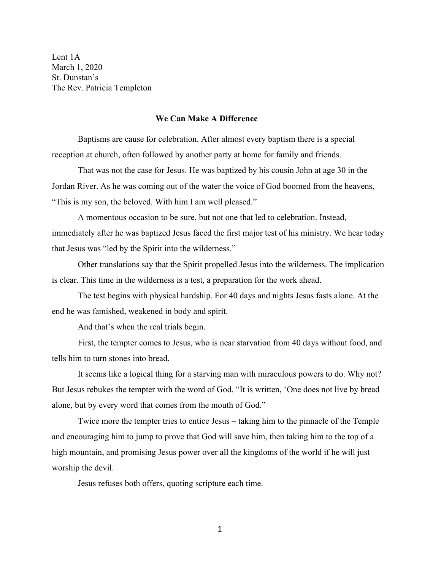Lent 1A March 1, 2020 St. Dunstan's The Rev. Patricia Templeton

## **We Can Make A Difference**

Baptisms are cause for celebration. After almost every baptism there is a special reception at church, often followed by another party at home for family and friends.

That was not the case for Jesus. He was baptized by his cousin John at age 30 in the Jordan River. As he was coming out of the water the voice of God boomed from the heavens, "This is my son, the beloved. With him I am well pleased."

A momentous occasion to be sure, but not one that led to celebration. Instead, immediately after he was baptized Jesus faced the first major test of his ministry. We hear today that Jesus was "led by the Spirit into the wilderness."

Other translations say that the Spirit propelled Jesus into the wilderness. The implication is clear. This time in the wilderness is a test, a preparation for the work ahead.

The test begins with physical hardship. For 40 days and nights Jesus fasts alone. At the end he was famished, weakened in body and spirit.

And that's when the real trials begin.

First, the tempter comes to Jesus, who is near starvation from 40 days without food, and tells him to turn stones into bread.

It seems like a logical thing for a starving man with miraculous powers to do. Why not? But Jesus rebukes the tempter with the word of God. "It is written, 'One does not live by bread alone, but by every word that comes from the mouth of God."

Twice more the tempter tries to entice Jesus – taking him to the pinnacle of the Temple and encouraging him to jump to prove that God will save him, then taking him to the top of a high mountain, and promising Jesus power over all the kingdoms of the world if he will just worship the devil.

Jesus refuses both offers, quoting scripture each time.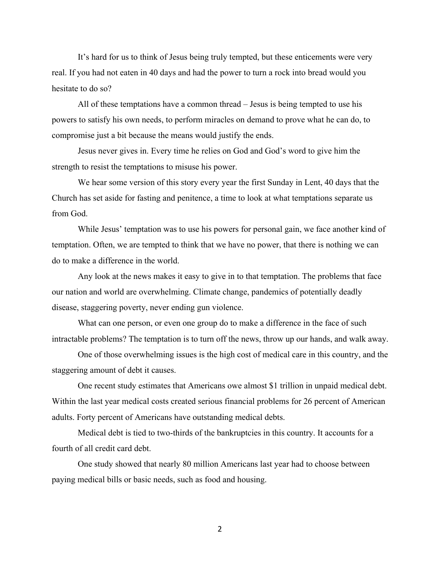It's hard for us to think of Jesus being truly tempted, but these enticements were very real. If you had not eaten in 40 days and had the power to turn a rock into bread would you hesitate to do so?

All of these temptations have a common thread – Jesus is being tempted to use his powers to satisfy his own needs, to perform miracles on demand to prove what he can do, to compromise just a bit because the means would justify the ends.

Jesus never gives in. Every time he relies on God and God's word to give him the strength to resist the temptations to misuse his power.

We hear some version of this story every year the first Sunday in Lent, 40 days that the Church has set aside for fasting and penitence, a time to look at what temptations separate us from God.

While Jesus' temptation was to use his powers for personal gain, we face another kind of temptation. Often, we are tempted to think that we have no power, that there is nothing we can do to make a difference in the world.

Any look at the news makes it easy to give in to that temptation. The problems that face our nation and world are overwhelming. Climate change, pandemics of potentially deadly disease, staggering poverty, never ending gun violence.

What can one person, or even one group do to make a difference in the face of such intractable problems? The temptation is to turn off the news, throw up our hands, and walk away.

One of those overwhelming issues is the high cost of medical care in this country, and the staggering amount of debt it causes.

One recent study estimates that Americans owe almost \$1 trillion in unpaid medical debt. Within the last year medical costs created serious financial problems for 26 percent of American adults. Forty percent of Americans have outstanding medical debts.

Medical debt is tied to two-thirds of the bankruptcies in this country. It accounts for a fourth of all credit card debt.

One study showed that nearly 80 million Americans last year had to choose between paying medical bills or basic needs, such as food and housing.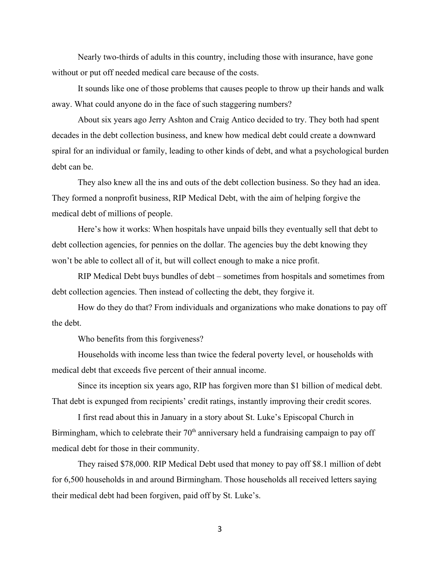Nearly two-thirds of adults in this country, including those with insurance, have gone without or put off needed medical care because of the costs.

It sounds like one of those problems that causes people to throw up their hands and walk away. What could anyone do in the face of such staggering numbers?

About six years ago Jerry Ashton and Craig Antico decided to try. They both had spent decades in the debt collection business, and knew how medical debt could create a downward spiral for an individual or family, leading to other kinds of debt, and what a psychological burden debt can be.

They also knew all the ins and outs of the debt collection business. So they had an idea. They formed a nonprofit business, RIP Medical Debt, with the aim of helping forgive the medical debt of millions of people.

Here's how it works: When hospitals have unpaid bills they eventually sell that debt to debt collection agencies, for pennies on the dollar. The agencies buy the debt knowing they won't be able to collect all of it, but will collect enough to make a nice profit.

RIP Medical Debt buys bundles of debt – sometimes from hospitals and sometimes from debt collection agencies. Then instead of collecting the debt, they forgive it.

How do they do that? From individuals and organizations who make donations to pay off the debt.

Who benefits from this forgiveness?

Households with income less than twice the federal poverty level, or households with medical debt that exceeds five percent of their annual income.

Since its inception six years ago, RIP has forgiven more than \$1 billion of medical debt. That debt is expunged from recipients' credit ratings, instantly improving their credit scores.

I first read about this in January in a story about St. Luke's Episcopal Church in Birmingham, which to celebrate their  $70<sup>th</sup>$  anniversary held a fundraising campaign to pay off medical debt for those in their community.

They raised \$78,000. RIP Medical Debt used that money to pay off \$8.1 million of debt for 6,500 households in and around Birmingham. Those households all received letters saying their medical debt had been forgiven, paid off by St. Luke's.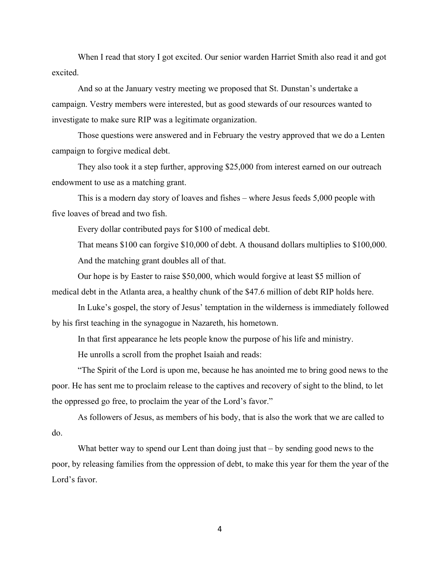When I read that story I got excited. Our senior warden Harriet Smith also read it and got excited.

And so at the January vestry meeting we proposed that St. Dunstan's undertake a campaign. Vestry members were interested, but as good stewards of our resources wanted to investigate to make sure RIP was a legitimate organization.

Those questions were answered and in February the vestry approved that we do a Lenten campaign to forgive medical debt.

They also took it a step further, approving \$25,000 from interest earned on our outreach endowment to use as a matching grant.

This is a modern day story of loaves and fishes – where Jesus feeds 5,000 people with five loaves of bread and two fish.

Every dollar contributed pays for \$100 of medical debt.

That means \$100 can forgive \$10,000 of debt. A thousand dollars multiplies to \$100,000. And the matching grant doubles all of that.

Our hope is by Easter to raise \$50,000, which would forgive at least \$5 million of medical debt in the Atlanta area, a healthy chunk of the \$47.6 million of debt RIP holds here.

In Luke's gospel, the story of Jesus' temptation in the wilderness is immediately followed by his first teaching in the synagogue in Nazareth, his hometown.

In that first appearance he lets people know the purpose of his life and ministry.

He unrolls a scroll from the prophet Isaiah and reads:

"The Spirit of the Lord is upon me, because he has anointed me to bring good news to the poor. He has sent me to proclaim release to the captives and recovery of sight to the blind, to let the oppressed go free, to proclaim the year of the Lord's favor."

As followers of Jesus, as members of his body, that is also the work that we are called to do.

What better way to spend our Lent than doing just that – by sending good news to the poor, by releasing families from the oppression of debt, to make this year for them the year of the Lord's favor.

4